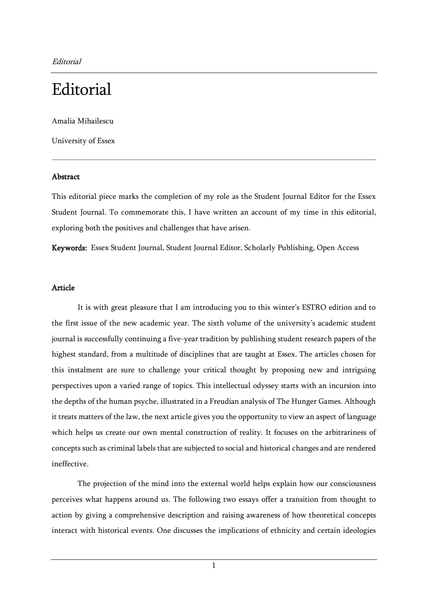# **Editorial**

Amalia Mihailescu

University of Essex

## Abstract

This editorial piece marks the completion of my role as the Student Journal Editor for the Essex Student Journal. To commemorate this, I have written an account of my time in this editorial, exploring both the positives and challenges that have arisen.

Keywords: Essex Student Journal, Student Journal Editor, Scholarly Publishing, Open Access

### Article

It is with great pleasure that I am introducing you to this winter's ESTRO edition and to the first issue of the new academic year. The sixth volume of the university's academic student journal is successfully continuing a five-year tradition by publishing student research papers of the highest standard, from a multitude of disciplines that are taught at Essex. The articles chosen for this instalment are sure to challenge your critical thought by proposing new and intriguing perspectives upon a varied range of topics. This intellectual odyssey starts with an incursion into the depths of the human psyche, illustrated in a Freudian analysis of The Hunger Games. Although it treats matters of the law, the next article gives you the opportunity to view an aspect of language which helps us create our own mental construction of reality. It focuses on the arbitrariness of concepts such as criminal labels that are subjected to social and historical changes and are rendered ineffective.

The projection of the mind into the external world helps explain how our consciousness perceives what happens around us. The following two essays offer a transition from thought to action by giving a comprehensive description and raising awareness of how theoretical concepts interact with historical events. One discusses the implications of ethnicity and certain ideologies

1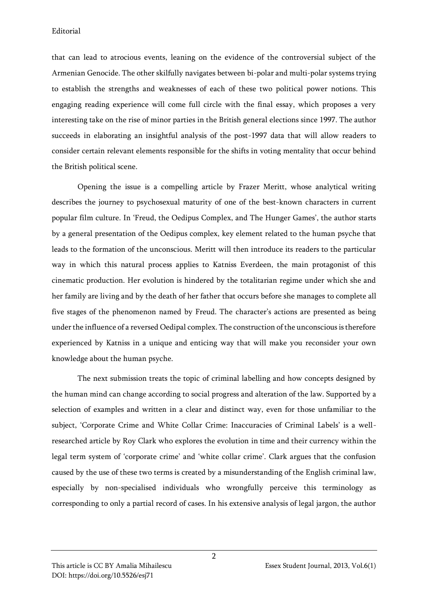that can lead to atrocious events, leaning on the evidence of the controversial subject of the Armenian Genocide. The other skilfully navigates between bi-polar and multi-polar systems trying to establish the strengths and weaknesses of each of these two political power notions. This engaging reading experience will come full circle with the final essay, which proposes a very interesting take on the rise of minor parties in the British general elections since 1997. The author succeeds in elaborating an insightful analysis of the post-1997 data that will allow readers to consider certain relevant elements responsible for the shifts in voting mentality that occur behind the British political scene.

Opening the issue is a compelling article by Frazer Meritt, whose analytical writing describes the journey to psychosexual maturity of one of the best-known characters in current popular film culture. In 'Freud, the Oedipus Complex, and The Hunger Games', the author starts by a general presentation of the Oedipus complex, key element related to the human psyche that leads to the formation of the unconscious. Meritt will then introduce its readers to the particular way in which this natural process applies to Katniss Everdeen, the main protagonist of this cinematic production. Her evolution is hindered by the totalitarian regime under which she and her family are living and by the death of her father that occurs before she manages to complete all five stages of the phenomenon named by Freud. The character's actions are presented as being under the influence of a reversed Oedipal complex. The construction of the unconscious is therefore experienced by Katniss in a unique and enticing way that will make you reconsider your own knowledge about the human psyche.

The next submission treats the topic of criminal labelling and how concepts designed by the human mind can change according to social progress and alteration of the law. Supported by a selection of examples and written in a clear and distinct way, even for those unfamiliar to the subject, 'Corporate Crime and White Collar Crime: Inaccuracies of Criminal Labels' is a wellresearched article by Roy Clark who explores the evolution in time and their currency within the legal term system of 'corporate crime' and 'white collar crime'. Clark argues that the confusion caused by the use of these two terms is created by a misunderstanding of the English criminal law, especially by non-specialised individuals who wrongfully perceive this terminology as corresponding to only a partial record of cases. In his extensive analysis of legal jargon, the author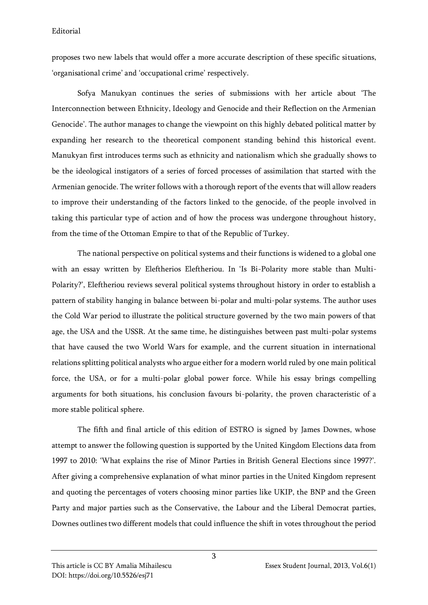proposes two new labels that would offer a more accurate description of these specific situations, 'organisational crime' and 'occupational crime' respectively.

Sofya Manukyan continues the series of submissions with her article about 'The Interconnection between Ethnicity, Ideology and Genocide and their Reflection on the Armenian Genocide'. The author manages to change the viewpoint on this highly debated political matter by expanding her research to the theoretical component standing behind this historical event. Manukyan first introduces terms such as ethnicity and nationalism which she gradually shows to be the ideological instigators of a series of forced processes of assimilation that started with the Armenian genocide. The writer follows with a thorough report of the events that will allow readers to improve their understanding of the factors linked to the genocide, of the people involved in taking this particular type of action and of how the process was undergone throughout history, from the time of the Ottoman Empire to that of the Republic of Turkey.

The national perspective on political systems and their functions is widened to a global one with an essay written by Eleftherios Eleftheriou. In 'Is Bi-Polarity more stable than Multi-Polarity?', Eleftheriou reviews several political systems throughout history in order to establish a pattern of stability hanging in balance between bi-polar and multi-polar systems. The author uses the Cold War period to illustrate the political structure governed by the two main powers of that age, the USA and the USSR. At the same time, he distinguishes between past multi-polar systems that have caused the two World Wars for example, and the current situation in international relations splitting political analysts who argue either for a modern world ruled by one main political force, the USA, or for a multi-polar global power force. While his essay brings compelling arguments for both situations, his conclusion favours bi-polarity, the proven characteristic of a more stable political sphere.

The fifth and final article of this edition of ESTRO is signed by James Downes, whose attempt to answer the following question is supported by the United Kingdom Elections data from 1997 to 2010: 'What explains the rise of Minor Parties in British General Elections since 1997?'. After giving a comprehensive explanation of what minor parties in the United Kingdom represent and quoting the percentages of voters choosing minor parties like UKIP, the BNP and the Green Party and major parties such as the Conservative, the Labour and the Liberal Democrat parties, Downes outlines two different models that could influence the shift in votes throughout the period